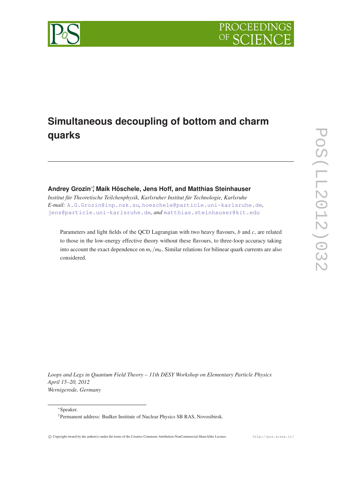

# **Simultaneous decoupling of bottom and charm quarks**

# **Andrey Grozin**∗† **, Maik Höschele, Jens Hoff, and Matthias Steinhauser**

*Institut für Theoretische Teilchenphysik, Karlsruher Institut für Technologie, Karlsruhe E-mail:* [A.G.Grozin@inp.nsk.su](mailto:A.G.Grozin@inp.nsk.su)*,* [hoeschele@particle.uni-karlsruhe.de](mailto:hoeschele@particle.uni-karlsruhe.de)*,* [jens@particle.uni-karlsruhe.de](mailto:jens@particle.uni-karlsruhe.de)*, and* [matthias.steinhauser@kit.edu](mailto:matthias.steinhauser@kit.edu)

Parameters and light fields of the QCD Lagrangian with two heavy flavours, *b* and *c*, are related to those in the low-energy effective theory without these flavours, to three-loop accuracy taking into account the exact dependence on  $m_c/m_b$ . Similar relations for bilinear quark currents are also considered.

*Loops and Legs in Quantum Field Theory – 11th DESY Workshop on Elementary Particle Physics April 15–20, 2012 Wernigerode, Germany*

<sup>∗</sup>Speaker.

<sup>†</sup>Permanent address: Budker Institute of Nuclear Physics SB RAS, Novosibirsk.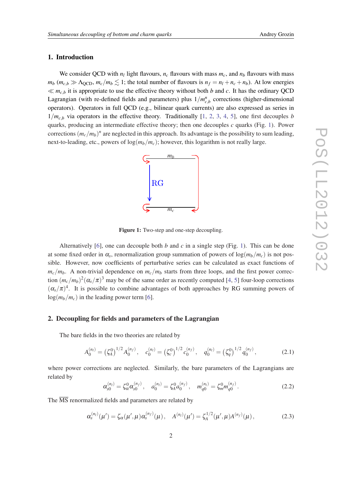## 1. Introduction

We consider QCD with  $n_l$  light flavours,  $n_c$  flavours with mass  $m_c$ , and  $n_b$  flavours with mass  $m_b$  ( $m_c$ , $b \gg \Lambda$ <sub>OCD</sub>,  $m_c/m_b \lesssim 1$ ; the total number of flavours is  $n_f = n_l + n_c + n_b$ ). At low energies  $\ll m_{c,b}$  it is appropriate to use the effective theory without both *b* and *c*. It has the ordinary QCD Lagrangian (with re-defined fields and parameters) plus  $1/m_{c,b}^n$  corrections (higher-dimensional operators). Operators in full QCD (e.g., bilinear quark currents) are also expressed as series in  $1/m<sub>c,b</sub>$  via operators in the effective theory. Traditionally [\[1,](#page-9-0) [2,](#page-9-0) [3](#page-9-0), [4,](#page-9-0) [5\]](#page-9-0), one first decouples *b* quarks, producing an intermediate effective theory; then one decouples *c* quarks (Fig. 1). Power corrections  $(m_c/m_b)^n$  are neglected in this approach. Its advantage is the possibility to sum leading, next-to-leading, etc., powers of  $\log(m_b/m_c)$ ; however, this logarithm is not really large.



Figure 1: Two-step and one-step decoupling.

Alternatively [[6](#page-9-0)], one can decouple both *b* and *c* in a single step (Fig. 1). This can be done at some fixed order in  $\alpha_s$ , renormalization group summation of powers of  $\log(m_b/m_c)$  is not possible. However, now coefficients of perturbative series can be calculated as exact functions of  $m_c/m_b$ . A non-trivial dependence on  $m_c/m_b$  starts from three loops, and the first power correction  $(m_c/m_b)^2(\alpha_s/\pi)^3$  may be of the same order as recently computed [[4](#page-9-0), [5](#page-9-0)] four-loop corrections  $(\alpha_s/\pi)^4$ . It is possible to combine advantages of both approaches by RG summing powers of  $log(m_b/m_c)$  in the leading power term [\[6\]](#page-9-0).

#### 2. Decoupling for fields and parameters of the Lagrangian

The bare fields in the two theories are related by

$$
A_0^{(n_l)} = \left(\zeta_0^0\right)^{1/2} A_0^{(n_f)}, \quad c_0^{(n_l)} = \left(\zeta_c^0\right)^{1/2} c_0^{(n_f)}, \quad q_0^{(n_l)} = \left(\zeta_q^0\right)^{1/2} q_0^{(n_f)},\tag{2.1}
$$

where power corrections are neglected. Similarly, the bare parameters of the Lagrangians are related by

$$
\alpha_{s0}^{(n_l)} = \zeta_{\alpha}^0 \alpha_{s0}^{(n_f)}, \quad a_0^{(n_l)} = \zeta_A^0 a_0^{(n_f)}, \quad m_{q0}^{(n_l)} = \zeta_{m}^0 m_{q0}^{(n_f)}.
$$
 (2.2)

The  $\overline{\text{MS}}$  renormalized fields and parameters are related by

$$
\alpha_s^{(n_l)}(\mu') = \zeta_\alpha(\mu', \mu) \alpha_s^{(n_f)}(\mu), \quad A^{(n_l)}(\mu') = \zeta_A^{1/2}(\mu', \mu) A^{(n_f)}(\mu), \tag{2.3}
$$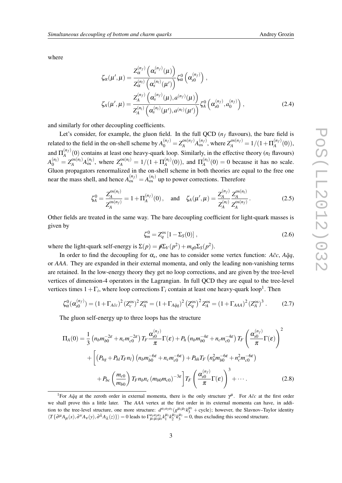where

$$
\zeta_{\alpha}(\mu', \mu) = \frac{Z_{\alpha}^{(n_f)}(\alpha_s^{(n_f)}(\mu))}{Z_{\alpha}^{(n_f)}(\alpha_s^{(n_f)}(\mu'))} \zeta_{\alpha}^{0}(\alpha_s^{(n_f)}) ,
$$
  

$$
\zeta_{A}(\mu', \mu) = \frac{Z_{A}^{(n_f)}(\alpha_s^{(n_f)}(\mu), a^{(n_f)}(\mu))}{Z_{A}^{(n_f)}(\alpha_s^{(n_f)}(\mu'), a^{(n_f)}(\mu'))} \zeta_{A}^{0}(\alpha_s^{(n_f)}, a_0^{(n_f)}) ,
$$
 (2.4)

and similarly for other decoupling coefficients.

Let's consider, for example, the gluon field. In the full QCD  $(n_f)$  flavours), the bare field is related to the field in the on-shell scheme by  $A_0^{(n_f)} = Z_A^{\text{os}(n_f)}$  $Z_A^{\text{os}(n_f)} A_{\text{os}}^{(n_f)}$ , where  $Z_A^{\text{os}(n_f)} = 1/(1+\Pi_A^{(n_f)})$  $A^{(n_f)}(0)),$ and  $\Pi_A^{(n_f)}$  $A^{(n_f)}(0)$  contains at least one heavy-quark loop. Similarly, in the effective theory ( $n_l$  flavours)  $A_0^{(n_l)} = Z_A^{\text{os}(n_l)}$  $Z_A^{os(n_l)}A_{\text{os}}^{(n_l)}$ , where  $Z_A^{os(n_l)} = 1/(1 + \Pi_A^{(n_l)})$  ${\Pi_A^{(n_l)}}(0)$ ), and  ${\Pi_A^{(n_l)}}$  $A_A^{(n_l)}(0) = 0$  because it has no scale. Gluon propagators renormalized in the on-shell scheme in both theories are equal to the free one near the mass shell, and hence  $A_{os}^{(n_f)} = A_{os}^{(n_f)}$  up to power corrections. Therefore

$$
\zeta_A^0 = \frac{Z_A^{\text{os}(n_l)}}{Z_A^{\text{os}(n_f)}} = 1 + \Pi_A^{(n_f)}(0), \quad \text{and} \quad \zeta_A(\mu', \mu) = \frac{Z_A^{(n_f)}}{Z_A^{(n_l)}} \frac{Z_A^{\text{os}(n_l)}}{Z_A^{\text{os}(n_f)}}.
$$
 (2.5)

Other fields are treated in the same way. The bare decoupling coefficient for light-quark masses is given by

$$
\zeta_m^0 = Z_q^{\text{os}} \left[ 1 - \Sigma_S(0) \right],\tag{2.6}
$$

where the light-quark self-energy is  $\Sigma(p) = p \Sigma_V(p^2) + m_{q0} \Sigma_S(p^2)$ .

In order to find the decoupling for  $\alpha_s$ , one has to consider some vertex function:  $A\bar{c}c$ ,  $A\bar{q}q$ , or *AAA*. They are expanded in their external momenta, and only the leading non-vanishing terms are retained. In the low-energy theory they get no loop corrections, and are given by the tree-level vertices of dimension-4 operators in the Lagrangian. In full QCD they are equal to the tree-level vertices times  $1 + \Gamma_i$ , where loop corrections  $\Gamma_i$  contain at least one heavy-quark loop<sup>1</sup>. Then

$$
\zeta_{\alpha}^{0}(\alpha_{s0}^{(n_f)}) = (1 + \Gamma_{A\bar{c}c})^{2} (Z_{c}^{\text{os}})^{2} Z_{A}^{\text{os}} = (1 + \Gamma_{A\bar{q}q})^{2} (Z_{q}^{\text{os}})^{2} Z_{A}^{\text{os}} = (1 + \Gamma_{AAA})^{2} (Z_{A}^{\text{os}})^{3} . \tag{2.7}
$$

The gluon self-energy up to three loops has the structure

$$
\Pi_{A}(0) = \frac{1}{3} \left( n_b m_{b0}^{-2\varepsilon} + n_c m_{c0}^{-2\varepsilon} \right) T_F \frac{\alpha_{s0}^{(n_f)}}{\pi} \Gamma(\varepsilon) + P_h \left( n_b m_{b0}^{-4\varepsilon} + n_c m_{c0}^{-4\varepsilon} \right) T_F \left( \frac{\alpha_{s0}^{(n_f)}}{\pi} \Gamma(\varepsilon) \right)^2
$$

$$
+ \left[ \left( P_{hg} + P_{hl} T_F n_l \right) \left( n_b m_{b0}^{-6\varepsilon} + n_c m_{c0}^{-6\varepsilon} \right) + P_{hh} T_F \left( n_b^2 m_{b0}^{-6\varepsilon} + n_c^2 m_{c0}^{-6\varepsilon} \right) \right.
$$

$$
+ P_{bc} \left( \frac{m_{c0}}{m_{b0}} \right) T_F n_b n_c \left( m_{b0} m_{c0} \right)^{-3\varepsilon} \left] T_F \left( \frac{\alpha_{s0}^{(n_f)}}{\pi} \Gamma(\varepsilon) \right)^3 + \cdots. \tag{2.8}
$$

<sup>&</sup>lt;sup>1</sup>For *Aqq* at the zeroth order in external momenta, there is the only structure  $\gamma^{\mu}$ . For *Acc* at the first order we shall prove this a little later. The *AAA* vertex at the first order in its external momenta can have, in addition to the tree-level structure, one more structure:  $d^{a_1a_2a_3}(g^{\mu_1\mu_2}k_3^{\mu_3} + \text{cycle})$ ; however, the Slavnov–Taylor identity  $\langle T\{\partial^{\mu}A_{\mu}(x),\partial^{\nu}A_{\nu}(y),\partial^{\lambda}A_{\lambda}(z)\}\rangle = 0$  leads to  $\Gamma^{a_1a_2a_3}_{\mu_1\mu_2\mu_3}k_1^{\mu_1}k_2^{\mu_2}k_3^{\mu_3} = 0$ , thus excluding this second structure.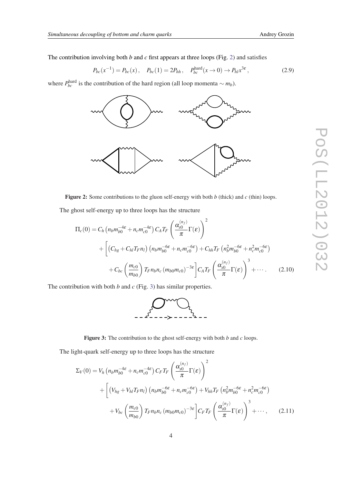<span id="page-3-0"></span>The contribution involving both  $b$  and  $c$  first appears at three loops (Fig. 2) and satisfies

$$
P_{bc}(x^{-1}) = P_{bc}(x), \quad P_{bc}(1) = 2P_{hh}, \quad P_{bc}^{\text{hard}}(x \to 0) \to P_{hl}x^{3\varepsilon}, \tag{2.9}
$$

where  $P_{bc}^{\text{hard}}$  is the contribution of the hard region (all loop momenta  $\sim m_b$ ).



Figure 2: Some contributions to the gluon self-energy with both *b* (thick) and *c* (thin) loops.

The ghost self-energy up to three loops has the structure

$$
\Pi_{c}(0) = C_{h} \left( n_{b} m_{b0}^{-4\varepsilon} + n_{c} m_{c0}^{-4\varepsilon} \right) C_{A} T_{F} \left( \frac{\alpha_{s0}^{(n_{f})}}{\pi} \Gamma(\varepsilon) \right)^{2} + \left[ \left( C_{hg} + C_{hl} T_{F} n_{l} \right) \left( n_{b} m_{b0}^{-6\varepsilon} + n_{c} m_{c0}^{-6\varepsilon} \right) + C_{hh} T_{F} \left( n_{b}^{2} m_{b0}^{-6\varepsilon} + n_{c}^{2} m_{c0}^{-6\varepsilon} \right) + C_{bc} \left( \frac{m_{c0}}{m_{b0}} \right) T_{F} n_{b} n_{c} \left( m_{b0} m_{c0} \right)^{-3\varepsilon} \left[ C_{A} T_{F} \left( \frac{\alpha_{s0}^{(n_{f})}}{\pi} \Gamma(\varepsilon) \right)^{3} + \cdots \right] \tag{2.10}
$$

The contribution with both *b* and *c* (Fig. 3) has similar properties.



Figure 3: The contribution to the ghost self-energy with both *b* and *c* loops.

The light-quark self-energy up to three loops has the structure

$$
\Sigma_V(0) = V_h \left( n_b m_{b0}^{-4\varepsilon} + n_c m_{c0}^{-4\varepsilon} \right) C_F T_F \left( \frac{\alpha_{s0}^{(n_f)}}{\pi} \Gamma(\varepsilon) \right)^2
$$
  
+ 
$$
\left[ \left( V_{hg} + V_{hl} T_F n_l \right) \left( n_b m_{b0}^{-6\varepsilon} + n_c m_{c0}^{-6\varepsilon} \right) + V_{hh} T_F \left( n_b^2 m_{b0}^{-6\varepsilon} + n_c^2 m_{c0}^{-6\varepsilon} \right) \right.
$$

$$
+ V_{bc} \left( \frac{m_{c0}}{m_{b0}} \right) T_F n_b n_c \left( m_{b0} m_{c0} \right)^{-3\varepsilon} \left[ C_F T_F \left( \frac{\alpha_{s0}^{(n_f)}}{\pi} \Gamma(\varepsilon) \right)^3 + \cdots, \qquad (2.11)
$$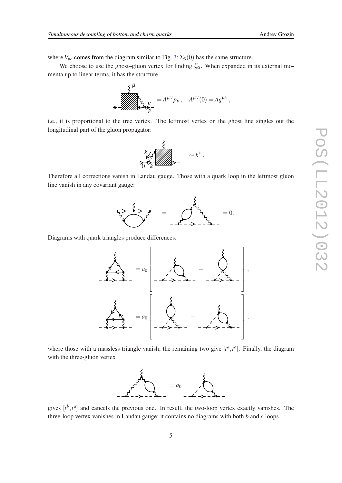where  $V_{bc}$  comes from the diagram similar to Fig. [3;](#page-3-0)  $\Sigma_S(0)$  has the same structure.

We choose to use the ghost–gluon vertex for finding  $\zeta_{\alpha}$ . When expanded in its external momenta up to linear terms, it has the structure

$$
\begin{aligned}\n\sum_{\substack{\lambda\\ \lambda \in \mathcal{U}}}\n\frac{\lambda}{\lambda} &= A^{\mu\nu} p_{\nu}, \quad A^{\mu\nu}(0) = A g^{\mu\nu}, \\
\sum_{\substack{\lambda\\ \lambda \in \mathcal{U}}}\n\frac{\lambda}{\lambda} &= A^{\mu\nu} p_{\nu}, \quad A^{\mu\nu}(0) = A g^{\mu\nu},\n\end{aligned}
$$

i.e., it is proportional to the tree vertex. The leftmost vertex on the ghost line singles out the longitudinal part of the gluon propagator:

0 *k <sup>k</sup>* <sup>∼</sup> *<sup>k</sup>* λ .

Therefore all corrections vanish in Landau gauge. Those with a quark loop in the leftmost gluon line vanish in any covariant gauge:



Diagrams with quark triangles produce differences:



where those with a massless triangle vanish; the remaining two give  $[t^a, t^b]$ . Finally, the diagram with the three-gluon vertex



gives  $[t^b, t^a]$  and cancels the previous one. In result, the two-loop vertex exactly vanishes. The three-loop vertex vanishes in Landau gauge; it contains no diagrams with both *b* and *c* loops.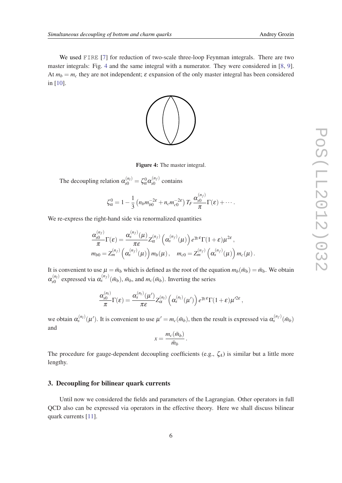We used FIRE [[7](#page-9-0)] for reduction of two-scale three-loop Feynman integrals. There are two master integrals: Fig. 4 and the same integral with a numerator. They were considered in [[8](#page-9-0), [9\]](#page-9-0). At  $m_b = m_c$  they are not independent;  $\varepsilon$  expansion of the only master integral has been considered in [\[10](#page-9-0)].



Figure 4: The master integral.

The decoupling relation  $\alpha_{s0}^{(n_l)} = \zeta_{\alpha}^0 \alpha_{s0}^{(n_f)}$  $\int_{s0}^{(n_f)}$  contains

$$
\zeta_{\alpha}^{0} = 1 - \frac{1}{3} \left( n_b m_{b0}^{-2\varepsilon} + n_c m_{c0}^{-2\varepsilon} \right) T_F \frac{\alpha_{s0}^{(n_f)}}{\pi} \Gamma(\varepsilon) + \cdots.
$$

We re-express the right-hand side via renormalized quantities

$$
\frac{\alpha_{s0}^{(n_f)}}{\pi} \Gamma(\varepsilon) = \frac{\alpha_s^{(n_f)}(\mu)}{\pi \varepsilon} Z_{\alpha}^{(n_f)}(\alpha_s^{(n_f)}(\mu)) e^{\gamma \varepsilon \varepsilon} \Gamma(1+\varepsilon) \mu^{2\varepsilon},
$$
  
\n
$$
m_{b0} = Z_m^{(n_f)}(\alpha_s^{(n_f)}(\mu)) m_b(\mu), \quad m_{c0} = Z_m^{(n_f)}(\alpha_s^{(n_f)}(\mu)) m_c(\mu).
$$

It is convenient to use  $\mu = \bar{m}_b$  which is defined as the root of the equation  $m_b(\bar{m}_b) = \bar{m}_b$ . We obtain  $\alpha^{(n_l)}_{s0}$  $s_0^{(n_l)}$  expressed via  $\alpha_s^{(n_f)}(\bar{m}_b)$ ,  $\bar{m}_b$ , and  $m_c(\bar{m}_b)$ . Inverting the series

$$
\frac{\alpha_{s0}^{(n_l)}}{\pi}\Gamma(\varepsilon)=\frac{\alpha_{s}^{(n_l)}(\mu')}{\pi\varepsilon}Z_\alpha^{(n_l)}\left(\alpha_{s}^{(n_l)}(\mu')\right)e^{\gamma\varepsilon\varepsilon}\Gamma(1+\varepsilon)\mu'^{2\varepsilon},
$$

we obtain  $\alpha_s^{(n_l)}(\mu')$ . It is convenient to use  $\mu' = m_c(\bar{m}_b)$ , then the result is expressed via  $\alpha_s^{(n_f)}(\bar{m}_b)$ and

$$
x = \frac{m_c(\bar{m}_b)}{\bar{m}_b}.
$$

The procedure for gauge-dependent decoupling coefficients (e.g., ζ*A*) is similar but a little more lengthy.

#### 3. Decoupling for bilinear quark currents

Until now we considered the fields and parameters of the Lagrangian. Other operators in full QCD also can be expressed via operators in the effective theory. Here we shall discuss bilinear quark currents [\[11](#page-9-0)].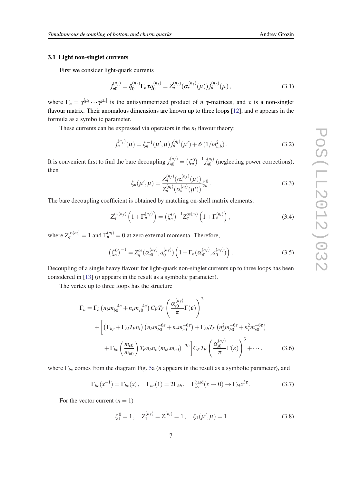#### 3.1 Light non-singlet currents

First we consider light-quark currents

$$
j_{n0}^{(n_f)} = \bar{q}_0^{(n_f)} \Gamma_n \tau q_0^{(n_f)} = Z_n^{(n_f)} (\alpha_s^{(n_f)}(\mu)) j_n^{(n_f)}(\mu), \qquad (3.1)
$$

where  $\Gamma_n = \gamma^{[\mu_1} \cdots \gamma^{\mu_n]}$  is the antisymmetrized product of *n*  $\gamma$ -matrices, and  $\tau$  is a non-singlet flavour matrix. Their anomalous dimensions are known up to three loops [[12](#page-9-0)], and *n* appears in the formula as a symbolic parameter.

These currents can be expressed via operators in the *n<sup>l</sup>* flavour theory:

$$
j_n^{(n_f)}(\mu) = \zeta_n^{-1}(\mu', \mu) j_n^{(n_f)}(\mu') + \mathcal{O}(1/m_{c,b}^2).
$$
 (3.2)

It is convenient first to find the bare decoupling  $j_{n0}^{(n_f)} = (\zeta_n^0)^{-1} j_{n0}^{(n_f)}$  $n_0^{(n_l)}$  (neglecting power corrections), then

$$
\zeta_n(\mu', \mu) = \frac{Z_n^{(n_f)}(\alpha_s^{(n_f)}(\mu))}{Z_n^{(n_f)}(\alpha_s^{(n_f)}(\mu'))} \zeta_n^0.
$$
\n(3.3)

The bare decoupling coefficient is obtained by matching on-shell matrix elements:

$$
Z_q^{\text{os}(n_f)}\left(1+\Gamma_n^{(n_f)}\right) = \left(\zeta_n^0\right)^{-1} Z_q^{\text{os}(n_l)}\left(1+\Gamma_n^{(n_l)}\right),\tag{3.4}
$$

where  $Z_q^{\text{os}(n_l)} = 1$  and  $\Gamma_n^{(n_l)} = 0$  at zero external momenta. Therefore,

$$
\left(\zeta_n^0\right)^{-1} = Z_q^{os}(\alpha_{s0}^{(n_f)}, a_0^{(n_f)}) \left(1 + \Gamma_n(\alpha_{s0}^{(n_f)}, a_0^{(n_f)})\right). \tag{3.5}
$$

Decoupling of a single heavy flavour for light-quark non-singlet currents up to three loops has been considered in [\[13](#page-9-0)] (*n* appears in the result as a symbolic parameter).

The vertex up to three loops has the structure

$$
\Gamma_n = \Gamma_h \left( n_b m_{b0}^{-4\varepsilon} + n_c m_{c0}^{-4\varepsilon} \right) C_F T_F \left( \frac{\alpha_{s0}^{(n_f)}}{\pi} \Gamma(\varepsilon) \right)^2
$$
  
+ 
$$
\left[ \left( \Gamma_{hg} + \Gamma_{hl} T_F n_l \right) \left( n_b m_{b0}^{-6\varepsilon} + n_c m_{c0}^{-6\varepsilon} \right) + \Gamma_{hh} T_F \left( n_b^2 m_{b0}^{-6\varepsilon} + n_c^2 m_{c0}^{-6\varepsilon} \right) + \Gamma_{bc} \left( \frac{m_{c0}}{m_{b0}} \right) T_F n_b n_c \left( m_{b0} m_{c0} \right)^{-3\varepsilon} \right] C_F T_F \left( \frac{\alpha_{s0}^{(n_f)}}{\pi} \Gamma(\varepsilon) \right)^3 + \cdots, \tag{3.6}
$$

where Γ*bc* comes from the diagram Fig. [5a](#page-7-0) (*n* appears in the result as a symbolic parameter), and

$$
\Gamma_{bc}(x^{-1}) = \Gamma_{bc}(x), \quad \Gamma_{bc}(1) = 2\Gamma_{hh}, \quad \Gamma_{bc}^{\text{hard}}(x \to 0) \to \Gamma_{hl}x^{3\varepsilon}.
$$
 (3.7)

For the vector current  $(n = 1)$ 

$$
\zeta_1^0 = 1, \quad Z_1^{(n_f)} = Z_1^{(n_l)} = 1, \quad \zeta_1(\mu', \mu) = 1 \tag{3.8}
$$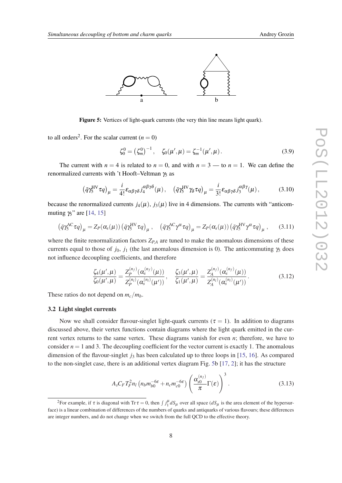<span id="page-7-0"></span>

Figure 5: Vertices of light-quark currents (the very thin line means light quark).

to all orders<sup>2</sup>. For the scalar current  $(n = 0)$ 

$$
\zeta_0^0 = (\zeta_m^0)^{-1}, \quad \zeta_0(\mu', \mu) = \zeta_m^{-1}(\mu', \mu). \tag{3.9}
$$

The current with  $n = 4$  is related to  $n = 0$ , and with  $n = 3$  — to  $n = 1$ . We can define the renormalized currents with 't Hooft–Veltman  $γ_5$  as

$$
\left(\bar{q}\gamma_5^{\text{HV}}\tau q\right)_\mu = \frac{i}{4!} \varepsilon_{\alpha\beta\gamma\delta} j_4^{\alpha\beta\gamma\delta}(\mu), \quad \left(\bar{q}\gamma_5^{\text{HV}}\gamma_\delta\tau q\right)_\mu = \frac{i}{3!} \varepsilon_{\alpha\beta\gamma\delta} j_3^{\alpha\beta\gamma}(\mu), \tag{3.10}
$$

because the renormalized currents  $j_4(\mu)$ ,  $j_3(\mu)$  live in 4 dimensions. The currents with "anticommuting  $\gamma_5$ " are [\[14](#page-9-0), [15](#page-9-0)]

$$
\left(\bar{q}\gamma_5^{\text{AC}}\tau q\right)_\mu = Z_P(\alpha_s(\mu)) \left(\bar{q}\gamma_5^{\text{HV}}\tau q\right)_\mu, \quad \left(\bar{q}\gamma_5^{\text{AC}}\gamma^\alpha\tau q\right)_\mu = Z_P(\alpha_s(\mu)) \left(\bar{q}\gamma_5^{\text{HV}}\gamma^\alpha\tau q\right)_\mu, \quad (3.11)
$$

where the finite renormalization factors *ZP*,*<sup>A</sup>* are tuned to make the anomalous dimensions of these currents equal to those of  $j_0$ ,  $j_1$  (the last anomalous dimension is 0). The anticommuting  $\gamma_5$  does not influence decoupling coefficients, and therefore

$$
\frac{\zeta_4(\mu',\mu)}{\zeta_0(\mu',\mu)} = \frac{Z_P^{(n_f)}(\alpha_s^{(n_f)}(\mu))}{Z_P^{(n_f)}(\alpha_s^{(n_f)}(\mu'))}, \quad \frac{\zeta_3(\mu',\mu)}{\zeta_1(\mu',\mu)} = \frac{Z_A^{(n_f)}(\alpha_s^{(n_f)}(\mu))}{Z_A^{(n_f)}(\alpha_s^{(n_f)}(\mu'))}.
$$
\n(3.12)

These ratios do not depend on  $m_c/m_b$ .

#### 3.2 Light singlet currents

Now we shall consider flavour-singlet light-quark currents ( $\tau = 1$ ). In addition to diagrams discussed above, their vertex functions contain diagrams where the light quark emitted in the current vertex returns to the same vertex. These diagrams vanish for even *n*; therefore, we have to consider  $n = 1$  and 3. The decoupling coefficient for the vector current is exactly 1. The anomalous dimension of the flavour-singlet  $j_3$  has been calculated up to three loops in [[15](#page-9-0), [16\]](#page-9-0). As compared to the non-singlet case, there is an additional vertex diagram Fig. 5b [[17,](#page-9-0) [2\]](#page-9-0); it has the structure

$$
A_s C_F T_F^2 n_l \left( n_b m_{b0}^{-6\varepsilon} + n_c m_{c0}^{-6\varepsilon} \right) \left( \frac{\alpha_{s0}^{(n_f)}}{\pi} \Gamma(\varepsilon) \right)^3. \tag{3.13}
$$

<sup>&</sup>lt;sup>2</sup>For example, if  $\tau$  is diagonal with Tr  $\tau = 0$ , then  $\int j_1^{\mu} dS_{\mu}$  over all space  $(dS_{\mu})$  is the area element of the hypersurface) is a linear combination of differences of the numbers of quarks and antiquarks of various flavours; these differences are integer numbers, and do not change when we switch from the full QCD to the effective theory.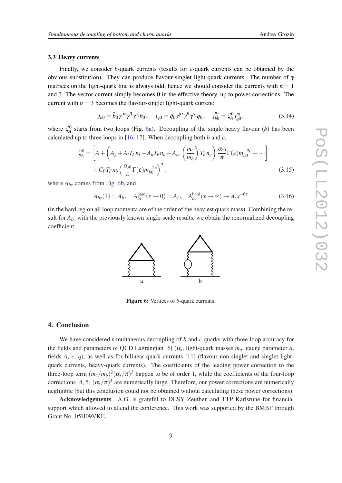#### 3.3 Heavy currents

Finally, we consider *b*-quark currents (results for *c*-quark currents can be obtained by the obvious substitution). They can produce flavour-singlet light-quark currents. The number of γ matrices on the light-quark line is always odd, hence we should consider the currents with  $n = 1$ and 3. The vector current simply becomes 0 in the effective theory, up to power corrections. The current with  $n = 3$  becomes the flavour-singlet light-quark current:

$$
j_{b0} = \bar{b}_0 \gamma^{[\alpha} \gamma^{\beta} \gamma^{\gamma]} b_0, \quad j_{q0} = \bar{q}_0 \gamma^{[\alpha} \gamma^{\beta} \gamma^{\gamma]} q_0, \quad j_{b0}^{n_f} = \zeta_A^0 j_{q0}^{n_f}, \tag{3.14}
$$

where  $\zeta_A^0$  starts from two loops (Fig. 6a). Decoupling of the single heavy flavour (*b*) has been calculated up to three loops in  $[16, 17]$  $[16, 17]$  $[16, 17]$  $[16, 17]$  $[16, 17]$ . When decoupling both *b* and *c*,

$$
\zeta_A^0 = \left[ A + \left( A_g + A_l T_F n_l + A_h T_F n_b + A_{bc} \left( \frac{m_c}{m_b} \right) T_F n_c \right) \frac{\alpha_{s0}}{\pi} \Gamma(\varepsilon) m_{b0}^{-2\varepsilon} + \cdots \right] \times C_F T_F n_b \left( \frac{\alpha_{s0}}{\pi} \Gamma(\varepsilon) m_{b0}^{-2\varepsilon} \right)^2, \tag{3.15}
$$

where  $A_{bc}$  comes from Fig. 6b, and

$$
A_{bc}(1) = A_h, \quad A_{bc}^{\text{hard}}(x \to 0) = A_l, \quad A_{bc}^{\text{hard}}(x \to \infty) \to A_s x^{-6\varepsilon}
$$
(3.16)

(in the hard region all loop momenta are of the order of the heaviest quark mass). Combining the result for  $A_{bc}$  with the previously known single-scale results, we obtain the renormalized decoupling coefficient.



Figure 6: Vertices of *b*-quark currents.

### 4. Conclusion

We have considered simultaneous decoupling of *b* and *c* quarks with three-loop accuracy for the fields and parameters of QCD Lagrangian [\[6\]](#page-9-0) ( $\alpha_s$ , light-quark masses  $m_q$ , gauge parameter *a*, fields *A*, *c*, *q*), as well as for bilinear quark currents [\[11](#page-9-0)] (flavour non-singlet and singlet lightquark currents, heavy-quark currents). The coefficients of the leading power correction to the three-loop term  $(m_c/m_b)^2(\alpha_s/\pi)^3$  happen to be of order 1, while the coefficients of the four-loop corrections [\[4,](#page-9-0) [5](#page-9-0)]  $(\alpha_s/\pi)^4$  are numerically large. Therefore, our power corrections are numerically negligible (but this conclusion could not be obtained without calculating these power corrections).

Acknowledgements. A.G. is grateful to DESY Zeuthen and TTP Karlsruhe for financial support which allowed to attend the conference. This work was supported by the BMBF through Grant No. 05H09VKE.